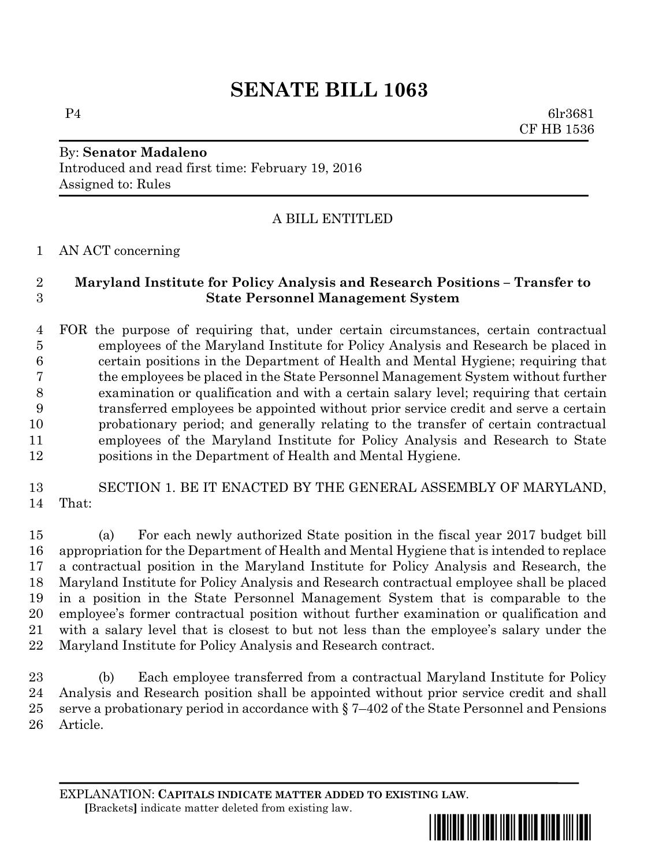# **SENATE BILL 1063**

P4 6lr3681 CF HB 1536

#### By: **Senator Madaleno** Introduced and read first time: February 19, 2016 Assigned to: Rules

## A BILL ENTITLED

AN ACT concerning

#### **Maryland Institute for Policy Analysis and Research Positions – Transfer to State Personnel Management System**

 FOR the purpose of requiring that, under certain circumstances, certain contractual employees of the Maryland Institute for Policy Analysis and Research be placed in certain positions in the Department of Health and Mental Hygiene; requiring that the employees be placed in the State Personnel Management System without further examination or qualification and with a certain salary level; requiring that certain transferred employees be appointed without prior service credit and serve a certain probationary period; and generally relating to the transfer of certain contractual employees of the Maryland Institute for Policy Analysis and Research to State positions in the Department of Health and Mental Hygiene.

## SECTION 1. BE IT ENACTED BY THE GENERAL ASSEMBLY OF MARYLAND, That:

 (a) For each newly authorized State position in the fiscal year 2017 budget bill appropriation for the Department of Health and Mental Hygiene that is intended to replace a contractual position in the Maryland Institute for Policy Analysis and Research, the Maryland Institute for Policy Analysis and Research contractual employee shall be placed in a position in the State Personnel Management System that is comparable to the employee's former contractual position without further examination or qualification and with a salary level that is closest to but not less than the employee's salary under the Maryland Institute for Policy Analysis and Research contract.

 (b) Each employee transferred from a contractual Maryland Institute for Policy Analysis and Research position shall be appointed without prior service credit and shall 25 serve a probationary period in accordance with  $\S 7-402$  of the State Personnel and Pensions Article.